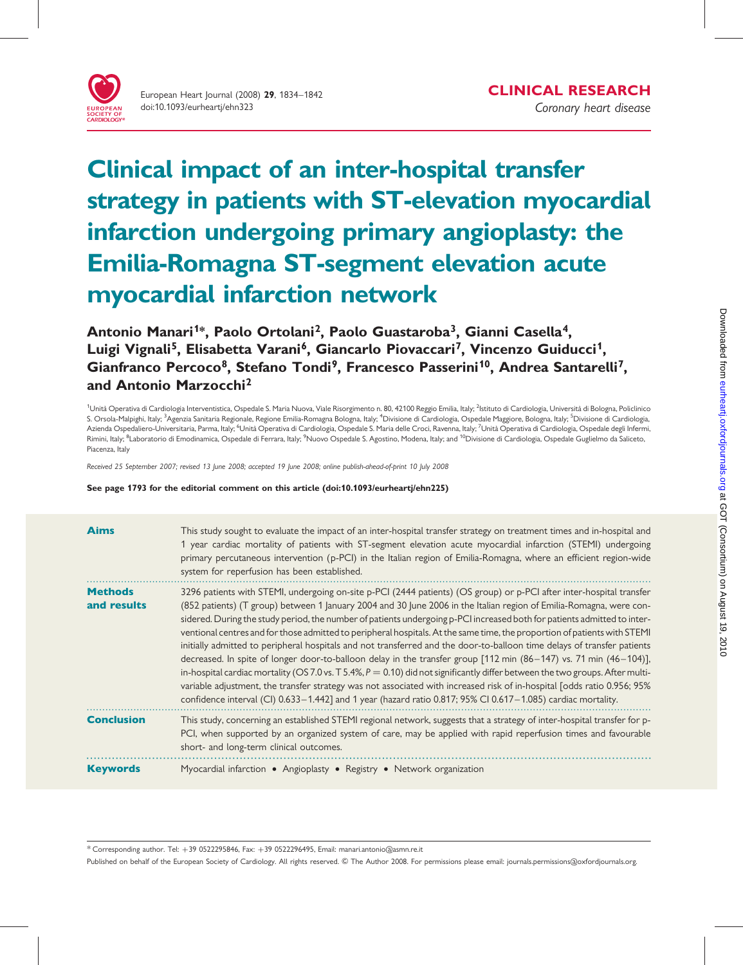

European Heart Journal (2008) 29, 1834–1842 doi:10.1093/eurheartj/ehn323

# Clinical impact of an inter-hospital transfer strategy in patients with ST-elevation myocardial infarction undergoing primary angioplasty: the Emilia-Romagna ST-segment elevation acute myocardial infarction network

Antonio Manari<sup>1\*</sup>, Paolo Ortolani<sup>2</sup>, Paolo Guastaroba<sup>3</sup>, Gianni Casella<sup>4</sup>, Luigi Vignali<sup>5</sup>, Elisabetta Varani<sup>6</sup>, Giancarlo Piovaccari<sup>7</sup>, Vincenzo Guiducci<sup>1</sup>, Gianfranco Percoco<sup>8</sup>, Stefano Tondi<sup>9</sup>, Francesco Passerini<sup>10</sup>, Andrea Santarelli<sup>7</sup>, and Antonio Marzocchi2

<sup>1</sup>Unità Operativa di Cardiologia Interventistica, Ospedale S. Maria Nuova, Viale Risorgimento n. 80, 42100 Reggio Emilia, Italy; <sup>2</sup>Istituto di Cardiologia, Università di Bologna, Policlinico S. Orsola-Malpighi, Italy; <sup>3</sup>Agenzia Sanitaria Regionale, Regione Emilia-Romagna Bologna, Italy; <sup>4</sup>Divisione di Cardiologia, Ospedale Maggiore, Bologna, Italy; <sup>5</sup>Divisione di Cardiologia Azienda Ospedaliero-Universitaria, Parma, Italy; <sup>6</sup>Unità Operativa di Cardiologia, Ospedale S. Maria delle Croci, Ravenna, Italy; <sup>7</sup>Unità Operativa di Cardiologia, Ospedale degli Infermi, Rimini, Italy; <sup>8</sup>Laboratorio di Emodinamica, Ospedale di Ferrara, Italy; <sup>9</sup>Nuovo Ospedale S. Agostino, Modena, Italy; and <sup>10</sup>Divisione di Cardiologia, Ospedale Guglielmo da Saliceto, Piacenza, Italy

Received 25 September 2007; revised 13 June 2008; accepted 19 June 2008; online publish-ahead-of-print 10 July 2008

See page 1793 for the editorial comment on this article (doi:10.1093/eurheartj/ehn225)

| <b>Aims</b>                   | This study sought to evaluate the impact of an inter-hospital transfer strategy on treatment times and in-hospital and<br>1 year cardiac mortality of patients with ST-segment elevation acute myocardial infarction (STEMI) undergoing<br>primary percutaneous intervention (p-PCI) in the Italian region of Emilia-Romagna, where an efficient region-wide<br>system for reperfusion has been established.                                                                                                                                                                                                                                                                                                                                                                                                                                                                                                                                                                                                                                                                                                                               |
|-------------------------------|--------------------------------------------------------------------------------------------------------------------------------------------------------------------------------------------------------------------------------------------------------------------------------------------------------------------------------------------------------------------------------------------------------------------------------------------------------------------------------------------------------------------------------------------------------------------------------------------------------------------------------------------------------------------------------------------------------------------------------------------------------------------------------------------------------------------------------------------------------------------------------------------------------------------------------------------------------------------------------------------------------------------------------------------------------------------------------------------------------------------------------------------|
| <b>Methods</b><br>and results | 3296 patients with STEMI, undergoing on-site p-PCI (2444 patients) (OS group) or p-PCI after inter-hospital transfer<br>(852 patients) (T group) between 1 January 2004 and 30 June 2006 in the Italian region of Emilia-Romagna, were con-<br>sidered. During the study period, the number of patients undergoing p-PCI increased both for patients admitted to inter-<br>ventional centres and for those admitted to peripheral hospitals. At the same time, the proportion of patients with STEMI<br>initially admitted to peripheral hospitals and not transferred and the door-to-balloon time delays of transfer patients<br>decreased. In spite of longer door-to-balloon delay in the transfer group [112 min (86-147) vs. 71 min (46-104)],<br>in-hospital cardiac mortality (OS 7.0 vs. T 5.4%, $P = 0.10$ ) did not significantly differ between the two groups. After multi-<br>variable adjustment, the transfer strategy was not associated with increased risk of in-hospital [odds ratio 0.956; 95%<br>confidence interval (CI) $0.633 - 1.442$ ] and 1 year (hazard ratio 0.817; 95% CI 0.617 – 1.085) cardiac mortality. |
| <b>Conclusion</b>             | This study, concerning an established STEMI regional network, suggests that a strategy of inter-hospital transfer for p-<br>PCI, when supported by an organized system of care, may be applied with rapid reperfusion times and favourable<br>short- and long-term clinical outcomes.                                                                                                                                                                                                                                                                                                                                                                                                                                                                                                                                                                                                                                                                                                                                                                                                                                                      |
| <b>Keywords</b>               | Myocardial infarction • Angioplasty • Registry • Network organization                                                                                                                                                                                                                                                                                                                                                                                                                                                                                                                                                                                                                                                                                                                                                                                                                                                                                                                                                                                                                                                                      |

 $*$  Corresponding author. Tel:  $+39$  0522295846, Fax:  $+39$  0522296495, Email: manari.antonio@asmn.re.it

Published on behalf of the European Society of Cardiology. All rights reserved. & The Author 2008. For permissions please email: journals.permissions@oxfordjournals.org.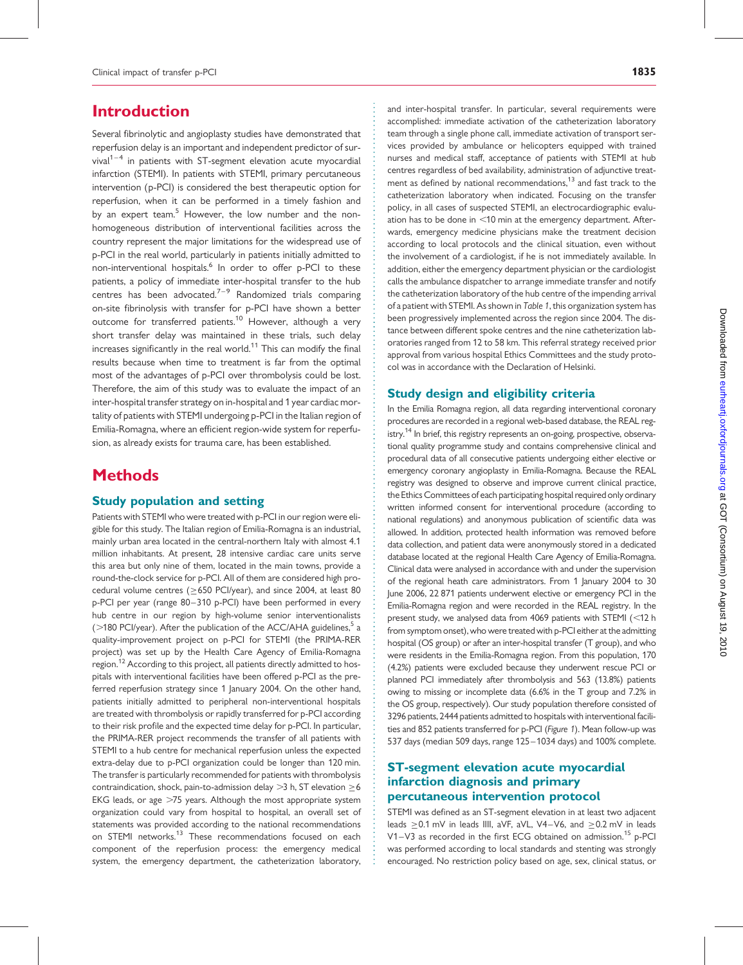# Introduction

Several fibrinolytic and angioplasty studies have demonstrated that reperfusion delay is an important and independent predictor of survival<sup>1–4</sup> in patients with ST-segment elevation acute myocardial infarction (STEMI). In patients with STEMI, primary percutaneous intervention (p-PCI) is considered the best therapeutic option for reperfusion, when it can be performed in a timely fashion and by an expert team.<sup>5</sup> However, the low number and the nonhomogeneous distribution of interventional facilities across the country represent the major limitations for the widespread use of p-PCI in the real world, particularly in patients initially admitted to non-interventional hospitals.<sup>6</sup> In order to offer p-PCI to these patients, a policy of immediate inter-hospital transfer to the hub centres has been advocated. $7-9$  Randomized trials comparing on-site fibrinolysis with transfer for p-PCI have shown a better outcome for transferred patients.<sup>10</sup> However, although a very short transfer delay was maintained in these trials, such delay increases significantly in the real world.<sup>11</sup> This can modify the final results because when time to treatment is far from the optimal most of the advantages of p-PCI over thrombolysis could be lost. Therefore, the aim of this study was to evaluate the impact of an inter-hospital transfer strategy on in-hospital and 1 year cardiac mortality of patients with STEMI undergoing p-PCI in the Italian region of Emilia-Romagna, where an efficient region-wide system for reperfusion, as already exists for trauma care, has been established.

# **Methods**

#### Study population and setting

Patients with STEMI who were treated with p-PCI in our region were eligible for this study. The Italian region of Emilia-Romagna is an industrial, mainly urban area located in the central-northern Italy with almost 4.1 million inhabitants. At present, 28 intensive cardiac care units serve this area but only nine of them, located in the main towns, provide a round-the-clock service for p-PCI. All of them are considered high procedural volume centres ( $\geq$  650 PCI/year), and since 2004, at least 80 p-PCI per year (range 80-310 p-PCI) have been performed in every hub centre in our region by high-volume senior interventionalists ( $>180$  PCI/year). After the publication of the ACC/AHA guidelines,  $5$  a quality-improvement project on p-PCI for STEMI (the PRIMA-RER project) was set up by the Health Care Agency of Emilia-Romagna region.<sup>12</sup> According to this project, all patients directly admitted to hospitals with interventional facilities have been offered p-PCI as the preferred reperfusion strategy since 1 January 2004. On the other hand, patients initially admitted to peripheral non-interventional hospitals are treated with thrombolysis or rapidly transferred for p-PCI according to their risk profile and the expected time delay for p-PCI. In particular, the PRIMA-RER project recommends the transfer of all patients with STEMI to a hub centre for mechanical reperfusion unless the expected extra-delay due to p-PCI organization could be longer than 120 min. The transfer is particularly recommended for patients with thrombolysis contraindication, shock, pain-to-admission delay  $>$ 3 h, ST elevation  $\geq$ 6 EKG leads, or age >75 years. Although the most appropriate system organization could vary from hospital to hospital, an overall set of statements was provided according to the national recommendations on STEMI networks.<sup>13</sup> These recommendations focused on each component of the reperfusion process: the emergency medical system, the emergency department, the catheterization laboratory, and inter-hospital transfer. In particular, several requirements were accomplished: immediate activation of the catheterization laboratory team through a single phone call, immediate activation of transport services provided by ambulance or helicopters equipped with trained nurses and medical staff, acceptance of patients with STEMI at hub centres regardless of bed availability, administration of adjunctive treatment as defined by national recommendations,<sup>13</sup> and fast track to the catheterization laboratory when indicated. Focusing on the transfer policy, in all cases of suspected STEMI, an electrocardiographic evaluation has to be done in <10 min at the emergency department. Afterwards, emergency medicine physicians make the treatment decision according to local protocols and the clinical situation, even without the involvement of a cardiologist, if he is not immediately available. In addition, either the emergency department physician or the cardiologist calls the ambulance dispatcher to arrange immediate transfer and notify the catheterization laboratory of the hub centre of the impending arrival of a patient with STEMI. As shown in Table 1, this organization system has been progressively implemented across the region since 2004. The distance between different spoke centres and the nine catheterization laboratories ranged from 12 to 58 km. This referral strategy received prior approval from various hospital Ethics Committees and the study protocol was in accordance with the Declaration of Helsinki.

#### Study design and eligibility criteria

In the Emilia Romagna region, all data regarding interventional coronary procedures are recorded in a regional web-based database, the REAL registry.<sup>14</sup> In brief, this registry represents an on-going, prospective, observational quality programme study and contains comprehensive clinical and procedural data of all consecutive patients undergoing either elective or emergency coronary angioplasty in Emilia-Romagna. Because the REAL registry was designed to observe and improve current clinical practice, the Ethics Committees of each participating hospital required only ordinary written informed consent for interventional procedure (according to national regulations) and anonymous publication of scientific data was allowed. In addition, protected health information was removed before data collection, and patient data were anonymously stored in a dedicated database located at the regional Health Care Agency of Emilia-Romagna. Clinical data were analysed in accordance with and under the supervision of the regional heath care administrators. From 1 January 2004 to 30 June 2006, 22 871 patients underwent elective or emergency PCI in the Emilia-Romagna region and were recorded in the REAL registry. In the present study, we analysed data from  $4069$  patients with STEMI (<12 h from symptom onset), who were treated with p-PCI either at the admitting hospital (OS group) or after an inter-hospital transfer (T group), and who were residents in the Emilia-Romagna region. From this population, 170 (4.2%) patients were excluded because they underwent rescue PCI or planned PCI immediately after thrombolysis and 563 (13.8%) patients owing to missing or incomplete data (6.6% in the T group and 7.2% in the OS group, respectively). Our study population therefore consisted of 3296 patients, 2444 patients admitted to hospitals with interventional facilities and 852 patients transferred for p-PCI (Figure 1). Mean follow-up was 537 days (median 509 days, range 125 – 1034 days) and 100% complete.

### ST-segment elevation acute myocardial infarction diagnosis and primary percutaneous intervention protocol

STEMI was defined as an ST-segment elevation in at least two adjacent leads  $\geq$  0.1 mV in leads IIII, aVF, aVL, V4–V6, and  $\geq$  0.2 mV in leads V1 $-$ V3 as recorded in the first ECG obtained on admission.<sup>15</sup> p-PCI was performed according to local standards and stenting was strongly encouraged. No restriction policy based on age, sex, clinical status, or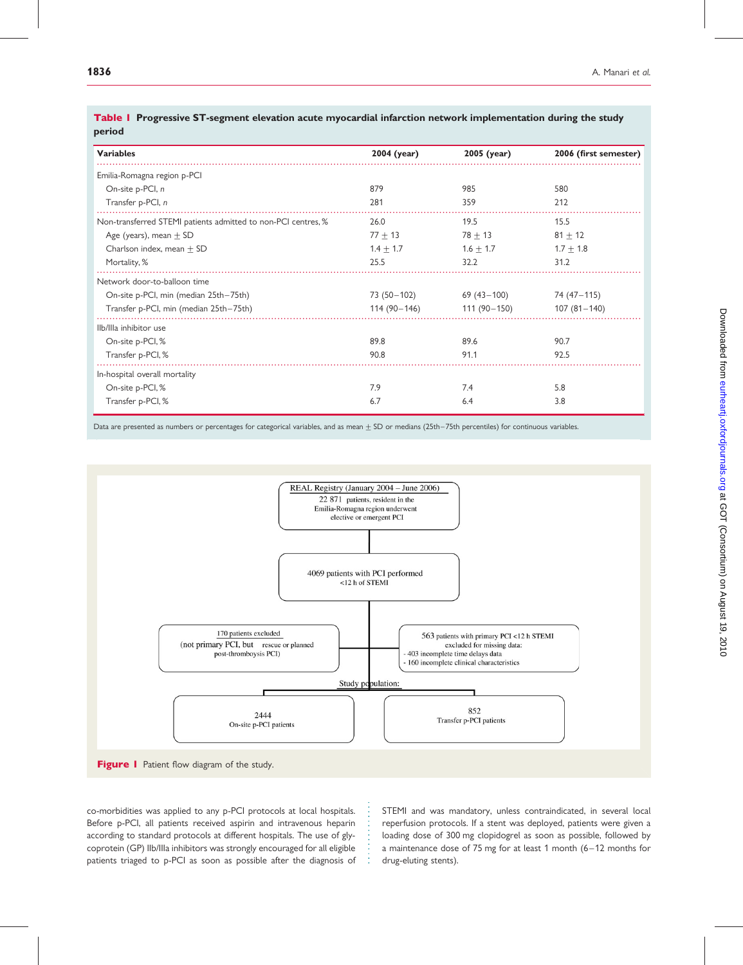| <b>Variables</b>                                              | 2004 (year)    | 2005 (year)   | 2006 (first semester) |
|---------------------------------------------------------------|----------------|---------------|-----------------------|
| Emilia-Romagna region p-PCI                                   |                |               |                       |
| On-site p-PCI, n                                              | 879            | 985           | 580                   |
| Transfer p-PCI, n                                             | 281            | 359           | 212                   |
| Non-transferred STEMI patients admitted to non-PCI centres, % | 26.0           | 19.5          | 15.5                  |
| Age (years), mean $\pm$ SD                                    | $77 + 13$      | $78 \pm 13$   | $81 \pm 12$           |
| Charlson index, mean $\pm$ SD                                 | $1.4 \pm 1.7$  | $1.6 \pm 1.7$ | $1.7 \pm 1.8$         |
| Mortality, %                                                  | 25.5           | 32.2          | 31.2                  |
| Network door-to-balloon time                                  |                |               |                       |
| On-site p-PCI, min (median 25th-75th)                         | 73 (50-102)    | 69 (43-100)   | 74 (47-115)           |
| Transfer p-PCI, min (median 25th-75th)                        | 114 (90 - 146) | 111 (90-150)  | $107(81 - 140)$       |
| Ilb/Illa inhibitor use                                        |                |               |                       |
| On-site p-PCI, %                                              | 89.8           | 89.6          | 90.7                  |
| Transfer p-PCI, %                                             | 90.8           | 91.1          | 92.5                  |
| In-hospital overall mortality                                 |                |               |                       |
| On-site p-PCI, %                                              | 7.9            | 7.4           | 5.8                   |
| Transfer p-PCI, %                                             | 6.7            | 6.4           | 3.8                   |

Table 1 Progressive ST-segment elevation acute myocardial infarction network implementation during the study period

Data are presented as numbers or percentages for categorical variables, and as mean  $\pm$  SD or medians (25th –75th percentiles) for continuous variables.



co-morbidities was applied to any p-PCI protocols at local hospitals. Before p-PCI, all patients received aspirin and intravenous heparin according to standard protocols at different hospitals. The use of glycoprotein (GP) IIb/IIIa inhibitors was strongly encouraged for all eligible patients triaged to p-PCI as soon as possible after the diagnosis of STEMI and was mandatory, unless contraindicated, in several local reperfusion protocols. If a stent was deployed, patients were given a loading dose of 300 mg clopidogrel as soon as possible, followed by a maintenance dose of 75 mg for at least 1 month (6– 12 months for drug-eluting stents).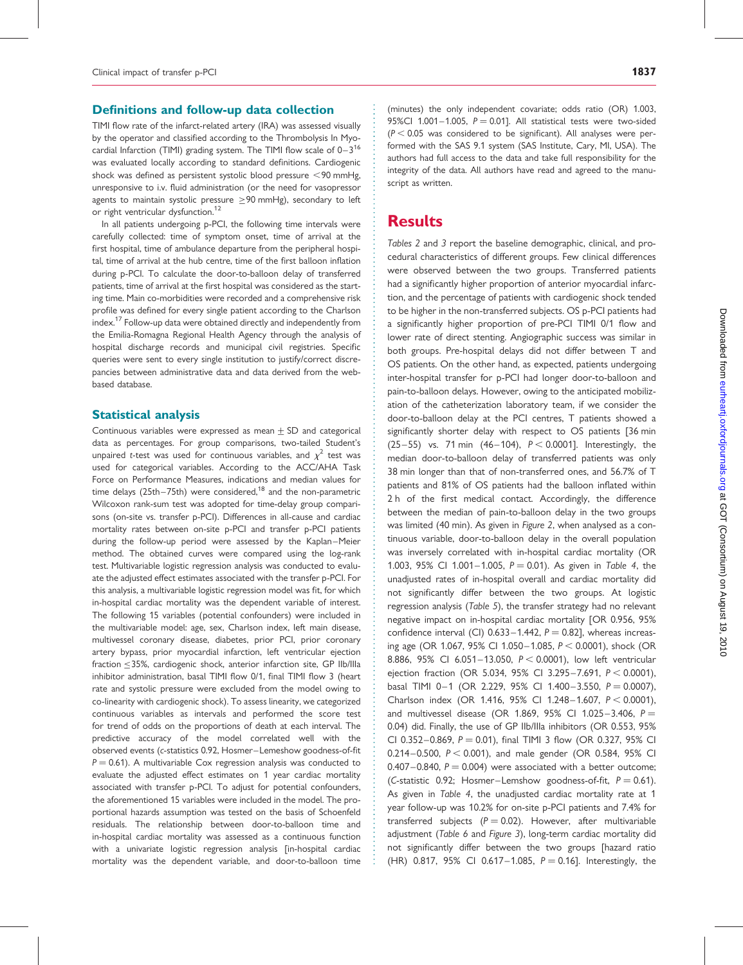#### Definitions and follow-up data collection

TIMI flow rate of the infarct-related artery (IRA) was assessed visually by the operator and classified according to the Thrombolysis In Myocardial Infarction (TIMI) grading system. The TIMI flow scale of  $0-3^{16}$ was evaluated locally according to standard definitions. Cardiogenic shock was defined as persistent systolic blood pressure  $<$  90 mmHg, unresponsive to i.v. fluid administration (or the need for vasopressor agents to maintain systolic pressure  $\geq$ 90 mmHg), secondary to left or right ventricular dysfunction.<sup>12</sup>

In all patients undergoing p-PCI, the following time intervals were carefully collected: time of symptom onset, time of arrival at the first hospital, time of ambulance departure from the peripheral hospital, time of arrival at the hub centre, time of the first balloon inflation during p-PCI. To calculate the door-to-balloon delay of transferred patients, time of arrival at the first hospital was considered as the starting time. Main co-morbidities were recorded and a comprehensive risk profile was defined for every single patient according to the Charlson index.<sup>17</sup> Follow-up data were obtained directly and independently from the Emilia-Romagna Regional Health Agency through the analysis of hospital discharge records and municipal civil registries. Specific queries were sent to every single institution to justify/correct discrepancies between administrative data and data derived from the webbased database.

#### Statistical analysis

Continuous variables were expressed as mean  $\pm$  SD and categorical data as percentages. For group comparisons, two-tailed Student's unpaired t-test was used for continuous variables, and  $\chi^2$  test was used for categorical variables. According to the ACC/AHA Task Force on Performance Measures, indications and median values for time delays (25th–75th) were considered,<sup>18</sup> and the non-parametric Wilcoxon rank-sum test was adopted for time-delay group comparisons (on-site vs. transfer p-PCI). Differences in all-cause and cardiac mortality rates between on-site p-PCI and transfer p-PCI patients during the follow-up period were assessed by the Kaplan-Meier method. The obtained curves were compared using the log-rank test. Multivariable logistic regression analysis was conducted to evaluate the adjusted effect estimates associated with the transfer p-PCI. For this analysis, a multivariable logistic regression model was fit, for which in-hospital cardiac mortality was the dependent variable of interest. The following 15 variables (potential confounders) were included in the multivariable model: age, sex, Charlson index, left main disease, multivessel coronary disease, diabetes, prior PCI, prior coronary artery bypass, prior myocardial infarction, left ventricular ejection fraction  $\leq$ 35%, cardiogenic shock, anterior infarction site, GP IIb/IIIa inhibitor administration, basal TIMI flow 0/1, final TIMI flow 3 (heart rate and systolic pressure were excluded from the model owing to co-linearity with cardiogenic shock). To assess linearity, we categorized continuous variables as intervals and performed the score test for trend of odds on the proportions of death at each interval. The predictive accuracy of the model correlated well with the observed events (c-statistics 0.92, Hosmer –Lemeshow goodness-of-fit  $P = 0.61$ ). A multivariable Cox regression analysis was conducted to evaluate the adjusted effect estimates on 1 year cardiac mortality associated with transfer p-PCI. To adjust for potential confounders, the aforementioned 15 variables were included in the model. The proportional hazards assumption was tested on the basis of Schoenfeld residuals. The relationship between door-to-balloon time and in-hospital cardiac mortality was assessed as a continuous function with a univariate logistic regression analysis [in-hospital cardiac mortality was the dependent variable, and door-to-balloon time

(minutes) the only independent covariate; odds ratio (OR) 1.003, 95%CI 1.001-1.005,  $P = 0.01$ ]. All statistical tests were two-sided  $(P < 0.05$  was considered to be significant). All analyses were performed with the SAS 9.1 system (SAS Institute, Cary, MI, USA). The authors had full access to the data and take full responsibility for the integrity of the data. All authors have read and agreed to the manuscript as written.

# **Results**

Tables 2 and 3 report the baseline demographic, clinical, and procedural characteristics of different groups. Few clinical differences were observed between the two groups. Transferred patients had a significantly higher proportion of anterior myocardial infarction, and the percentage of patients with cardiogenic shock tended to be higher in the non-transferred subjects. OS p-PCI patients had a significantly higher proportion of pre-PCI TIMI 0/1 flow and lower rate of direct stenting. Angiographic success was similar in both groups. Pre-hospital delays did not differ between T and OS patients. On the other hand, as expected, patients undergoing inter-hospital transfer for p-PCI had longer door-to-balloon and pain-to-balloon delays. However, owing to the anticipated mobilization of the catheterization laboratory team, if we consider the door-to-balloon delay at the PCI centres, T patients showed a significantly shorter delay with respect to OS patients [36 min (25 – 55) vs. 71 min (46 – 104),  $P < 0.0001$ ]. Interestingly, the median door-to-balloon delay of transferred patients was only 38 min longer than that of non-transferred ones, and 56.7% of T patients and 81% of OS patients had the balloon inflated within 2 h of the first medical contact. Accordingly, the difference between the median of pain-to-balloon delay in the two groups was limited (40 min). As given in Figure 2, when analysed as a continuous variable, door-to-balloon delay in the overall population was inversely correlated with in-hospital cardiac mortality (OR 1.003, 95% CI 1.001-1.005,  $P = 0.01$ ). As given in Table 4, the unadjusted rates of in-hospital overall and cardiac mortality did not significantly differ between the two groups. At logistic regression analysis (Table 5), the transfer strategy had no relevant negative impact on in-hospital cardiac mortality [OR 0.956, 95% confidence interval (CI)  $0.633 - 1.442$ ,  $P = 0.82$ ], whereas increasing age (OR 1.067, 95% CI 1.050–1.085,  $P < 0.0001$ ), shock (OR 8.886, 95% CI 6.051-13.050,  $P < 0.0001$ ), low left ventricular ejection fraction (OR 5.034, 95% CI 3.295-7.691,  $P < 0.0001$ ), basal TIMI 0-1 (OR 2.229, 95% CI 1.400-3.550,  $P = 0.0007$ ), Charlson index (OR 1.416, 95% CI 1.248-1.607,  $P < 0.0001$ ), and multivessel disease (OR 1.869, 95% CI 1.025-3.406,  $P =$ 0.04) did. Finally, the use of GP IIb/IIIa inhibitors (OR 0.553, 95% CI 0.352-0.869,  $P = 0.01$ ), final TIMI 3 flow (OR 0.327, 95% CI 0.214 – 0.500,  $P < 0.001$ ), and male gender (OR 0.584, 95% CI 0.407 – 0.840,  $P = 0.004$ ) were associated with a better outcome; (C-statistic 0.92; Hosmer–Lemshow goodness-of-fit,  $P = 0.61$ ). As given in Table 4, the unadjusted cardiac mortality rate at 1 year follow-up was 10.2% for on-site p-PCI patients and 7.4% for transferred subjects  $(P = 0.02)$ . However, after multivariable adjustment (Table 6 and Figure 3), long-term cardiac mortality did not significantly differ between the two groups [hazard ratio (HR) 0.817, 95% CI 0.617-1.085,  $P = 0.16$ ]. Interestingly, the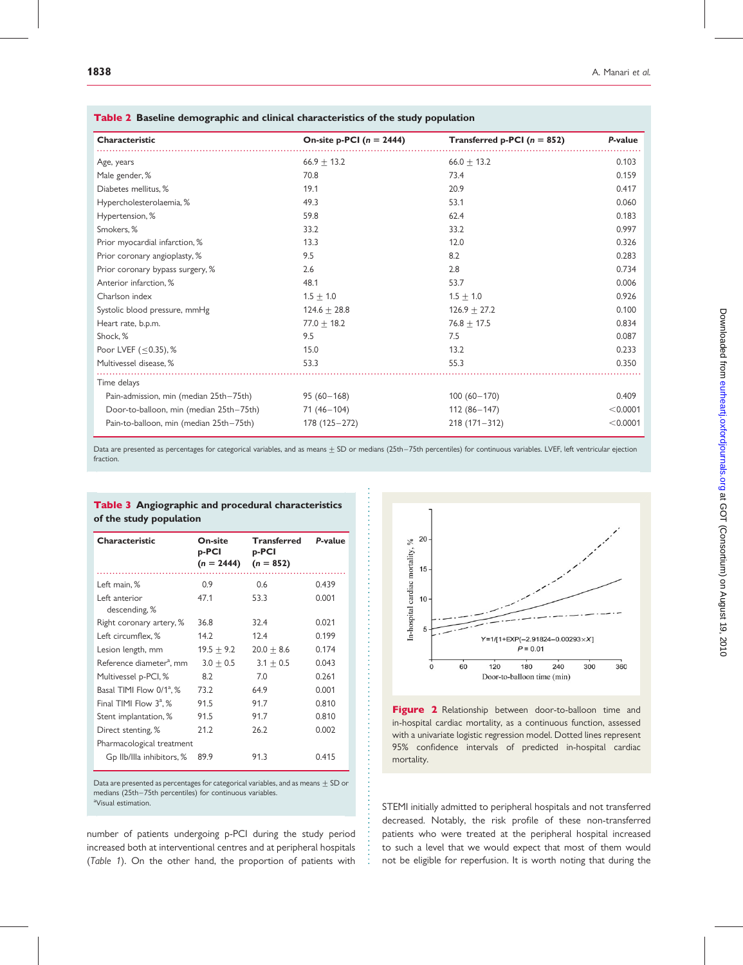| Characteristic                          | On-site p-PCI ( $n = 2444$ ) | Transferred p-PCI ( $n = 852$ ) | P-value  |
|-----------------------------------------|------------------------------|---------------------------------|----------|
| Age, years                              | $66.9 + 13.2$                | $66.0 + 13.2$                   | 0.103    |
| Male gender, %                          | 70.8                         | 73.4                            | 0.159    |
| Diabetes mellitus, %                    | 19.1                         | 20.9                            | 0.417    |
| Hypercholesterolaemia, %                | 49.3                         | 53.1                            | 0.060    |
| Hypertension, %                         | 59.8                         | 62.4                            | 0.183    |
| Smokers, %                              | 33.2                         | 33.2                            | 0.997    |
| Prior myocardial infarction, %          | 13.3                         | 12.0                            | 0.326    |
| Prior coronary angioplasty, %           | 9.5                          | 8.2                             | 0.283    |
| Prior coronary bypass surgery, %        | 2.6                          | 2.8                             | 0.734    |
| Anterior infarction, %                  | 48.1                         | 53.7                            | 0.006    |
| Charlson index                          | $1.5 \pm 1.0$                | $1.5 \pm 1.0$                   | 0.926    |
| Systolic blood pressure, mmHg           | $124.6 \pm 28.8$             | $126.9 \pm 27.2$                | 0.100    |
| Heart rate, b.p.m.                      | $77.0 + 18.2$                | $76.8 + 17.5$                   | 0.834    |
| Shock, %                                | 9.5                          | 7.5                             | 0.087    |
| Poor LVEF $( \le 0.35)$ , %             | 15.0                         | 13.2                            | 0.233    |
| Multivessel disease, %                  | 53.3                         | 55.3                            | 0.350    |
| Time delays                             |                              |                                 |          |
| Pain-admission, min (median 25th-75th)  | $95(60 - 168)$               | $100(60 - 170)$                 | 0.409    |
| Door-to-balloon, min (median 25th-75th) | 71 (46-104)                  | $112(86 - 147)$                 | < 0.0001 |
| Pain-to-balloon, min (median 25th-75th) | 178 (125 - 272)              | $218(171-312)$                  | < 0.0001 |

Table 2 Baseline demographic and clinical characteristics of the study population

Data are presented as percentages for categorical variables, and as means  $\pm$  SD or medians (25th – 75th percentiles) for continuous variables. LVEF, left ventricular ejection fraction.

| Characteristic                       | On-site               | <b>Transferred</b>   | P-value |
|--------------------------------------|-----------------------|----------------------|---------|
|                                      | p-PCI<br>$(n = 2444)$ | p-PCI<br>$(n = 852)$ |         |
| Left main, %                         | 0.9                   | 0.6                  | 0.439   |
| Left anterior<br>descending, %       | 47.1                  | 53.3                 | 0.001   |
| Right coronary artery, %             | 36.8                  | 32.4                 | 0.021   |
| Left circumflex. %                   | 14.2                  | 12.4                 | 0.199   |
| Lesion length, mm                    | $19.5 + 9.2$          | $20.0 + 8.6$         | 0.174   |
| Reference diameter <sup>a</sup> , mm | $3.0 + 0.5$           | $3.1 + 0.5$          | 0.043   |
| Multivessel p-PCI, %                 | 8.2                   | 7.0                  | 0.261   |
| Basal TIMI Flow 0/1 <sup>a</sup> , % | 73.2                  | 64.9                 | 0.001   |
| Final TIMI Flow $3^a$ , %            | 91.5                  | 91.7                 | 0.810   |
| Stent implantation, %                | 91.5                  | 91.7                 | 0.810   |
| Direct stenting, %                   | 21.2                  | 26.2                 | 0.002   |
| Pharmacological treatment            |                       |                      |         |
| Gp Ilb/Illa inhibitors, %            | 89.9                  | 91.3                 | 0.415   |
|                                      |                       |                      |         |

Table 3 Angiographic and procedural characteristics

Data are presented as percentages for categorical variables, and as means  $\pm$  SD or medians (25th –75th percentiles) for continuous variables. <sup>a</sup>Visual estimation.

number of patients undergoing p-PCI during the study period increased both at interventional centres and at peripheral hospitals (Table 1). On the other hand, the proportion of patients with



Figure 2 Relationship between door-to-balloon time and in-hospital cardiac mortality, as a continuous function, assessed with a univariate logistic regression model. Dotted lines represent 95% confidence intervals of predicted in-hospital cardiac mortality.

STEMI initially admitted to peripheral hospitals and not transferred decreased. Notably, the risk profile of these non-transferred patients who were treated at the peripheral hospital increased to such a level that we would expect that most of them would not be eligible for reperfusion. It is worth noting that during the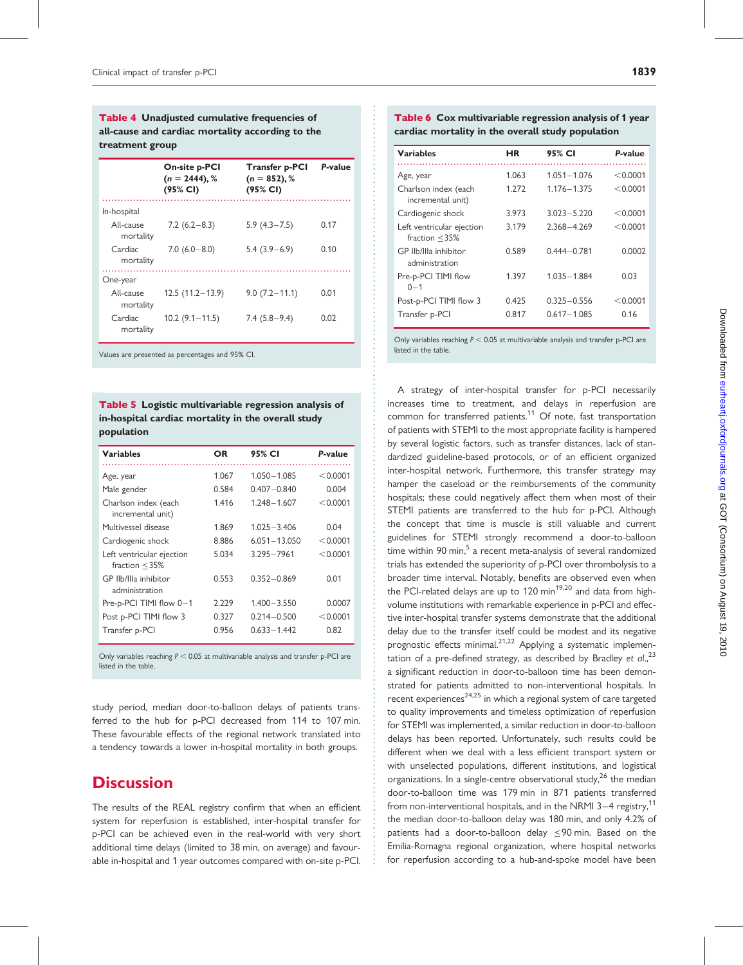Table 4 Unadjusted cumulative frequencies of all-cause and cardiac mortality according to the treatment group

|                        | <b>On-site p-PCI</b><br>$(n = 2444), %$<br>(95% CI) | <b>Transfer p-PCI</b><br>$(n = 852), %$<br>(95% CI) | P-value |
|------------------------|-----------------------------------------------------|-----------------------------------------------------|---------|
| In-hospital            |                                                     |                                                     |         |
| All-cause<br>mortality | $7.2(6.2-8.3)$                                      | $5.9(4.3 - 7.5)$                                    | 0.17    |
| Cardiac<br>mortality   | $7.0(6.0-8.0)$                                      | $5.4(3.9-6.9)$                                      | 0.10    |
| One-year               |                                                     |                                                     |         |
| All-cause<br>mortality | $12.5(11.2-13.9)$                                   | $9.0(7.2 - 11.1)$                                   | 0.01    |
| Cardiac<br>mortality   | $10.2(9.1 - 11.5)$                                  | $7.4(5.8-9.4)$                                      | 0.02    |

Values are presented as percentages and 95% CI.

Table 5 Logistic multivariable regression analysis of in-hospital cardiac mortality in the overall study population

| Variables                                     | <b>OR</b> | 95% CI          | P-value  |
|-----------------------------------------------|-----------|-----------------|----------|
| Age, year                                     | 1.067     | 1.050 - 1.085   | < 0.0001 |
| Male gender                                   | 0.584     | $0.407 - 0.840$ | 0.004    |
| Charlson index (each<br>incremental unit)     | 1.416     | 1.248-1.607     | < 0.0001 |
| Multivessel disease                           | 1.869     | $1.025 - 3.406$ | 0.04     |
| Cardiogenic shock                             | 8.886     | 6.051-13.050    | < 0.0001 |
| Left ventricular ejection<br>fraction $<$ 35% | 5.034     | 3.295-7961      | < 0.0001 |
| GP IIb/IIIa inhibitor<br>administration       | 0.553     | $0.352 - 0.869$ | 0.01     |
| Pre-p-PCI TIMI flow 0-1                       | 2.229     | $1.400 - 3.550$ | 0.0007   |
| Post p-PCI TIMI flow 3                        | 0.327     | $0.214 - 0.500$ | < 0.0001 |
| Transfer p-PCI                                | 0.956     | $0.633 - 1.442$ | 0.82     |

Only variables reaching  $P < 0.05$  at multivariable analysis and transfer p-PCI are listed in the table.

study period, median door-to-balloon delays of patients transferred to the hub for p-PCI decreased from 114 to 107 min. These favourable effects of the regional network translated into a tendency towards a lower in-hospital mortality in both groups.

# **Discussion**

The results of the REAL registry confirm that when an efficient system for reperfusion is established, inter-hospital transfer for p-PCI can be achieved even in the real-world with very short additional time delays (limited to 38 min, on average) and favourable in-hospital and 1 year outcomes compared with on-site p-PCI.

Table 6 Cox multivariable regression analysis of 1 year cardiac mortality in the overall study population

| <b>Variables</b>                              | HR    | 95% CI          | P-value  |
|-----------------------------------------------|-------|-----------------|----------|
| Age, year                                     | 1.063 | $1.051 - 1.076$ | < 0.0001 |
| Charlson index (each<br>incremental unit)     | 1.272 | 1.176 - 1.375   | < 0.0001 |
| Cardiogenic shock                             | 3.973 | $3.023 - 5.220$ | < 0.0001 |
| Left ventricular ejection<br>fraction $<$ 35% | 3.179 | 2368-4269       | < 0.0001 |
| GP IIb/IIIa inhibitor<br>administration       | 0.589 | $0.444 - 0.781$ | 0.0002   |
| Pre-p-PCI TIMI flow<br>$0 - 1$                | 1.397 | 1.035 - 1.884   | 0.03     |
| Post-p-PCI TIMI flow 3                        | 0.425 | $0.325 - 0.556$ | < 0.0001 |
| Transfer p-PCI                                | 0.817 | $0.617 - 1.085$ | 0.16     |

Only variables reaching  $P < 0.05$  at multivariable analysis and transfer p-PCI are listed in the table.

A strategy of inter-hospital transfer for p-PCI necessarily increases time to treatment, and delays in reperfusion are common for transferred patients.<sup>11</sup> Of note, fast transportation of patients with STEMI to the most appropriate facility is hampered by several logistic factors, such as transfer distances, lack of standardized guideline-based protocols, or of an efficient organized inter-hospital network. Furthermore, this transfer strategy may hamper the caseload or the reimbursements of the community hospitals; these could negatively affect them when most of their STEMI patients are transferred to the hub for p-PCI. Although the concept that time is muscle is still valuable and current guidelines for STEMI strongly recommend a door-to-balloon time within 90 min, $5$  a recent meta-analysis of several randomized trials has extended the superiority of p-PCI over thrombolysis to a broader time interval. Notably, benefits are observed even when the PCI-related delays are up to 120 min<sup>19,20</sup> and data from highvolume institutions with remarkable experience in p-PCI and effective inter-hospital transfer systems demonstrate that the additional delay due to the transfer itself could be modest and its negative prognostic effects minimal.<sup>21,22</sup> Applying a systematic implementation of a pre-defined strategy, as described by Bradley et  $al$ ,  $^{23}$ a significant reduction in door-to-balloon time has been demonstrated for patients admitted to non-interventional hospitals. In recent experiences<sup>24,25</sup> in which a regional system of care targeted to quality improvements and timeless optimization of reperfusion for STEMI was implemented, a similar reduction in door-to-balloon delays has been reported. Unfortunately, such results could be different when we deal with a less efficient transport system or with unselected populations, different institutions, and logistical organizations. In a single-centre observational study,<sup>26</sup> the median door-to-balloon time was 179 min in 871 patients transferred from non-interventional hospitals, and in the NRMI 3-4 registry,  $11$ the median door-to-balloon delay was 180 min, and only 4.2% of patients had a door-to-balloon delay  $\leq$ 90 min. Based on the Emilia-Romagna regional organization, where hospital networks for reperfusion according to a hub-and-spoke model have been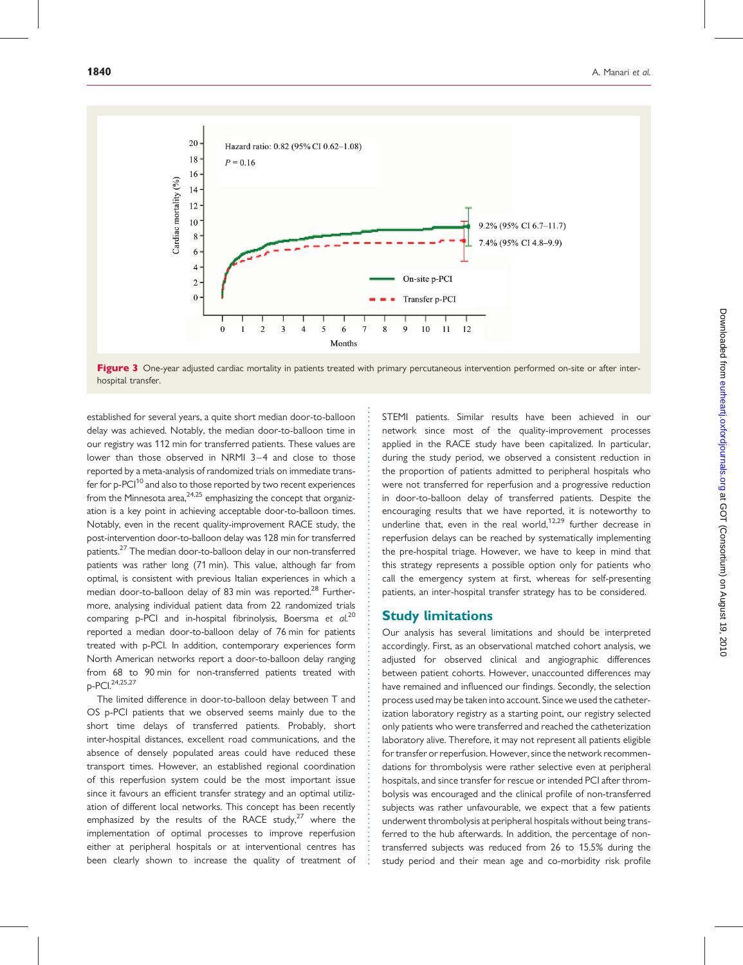

Figure 3 One-year adjusted cardiac mortality in patients treated with primary percutaneous intervention performed on-site or after interhospital transfer.

established for several years, a quite short median door-to-balloon delay was achieved. Notably, the median door-to-balloon time in our registry was 112 min for transferred patients. These values are lower than those observed in NRMI 3-4 and close to those reported by a meta-analysis of randomized trials on immediate transfer for p-PCI<sup>10</sup> and also to those reported by two recent experiences from the Minnesota area, $24.25$  emphasizing the concept that organization is a key point in achieving acceptable door-to-balloon times. Notably, even in the recent quality-improvement RACE study, the post-intervention door-to-balloon delay was 128 min for transferred patients.<sup>27</sup> The median door-to-balloon delay in our non-transferred patients was rather long (71 min). This value, although far from optimal, is consistent with previous Italian experiences in which a median door-to-balloon delay of 83 min was reported.<sup>28</sup> Furthermore, analysing individual patient data from 22 randomized trials comparing p-PCI and in-hospital fibrinolysis, Boersma et al.<sup>20</sup> reported a median door-to-balloon delay of 76 min for patients treated with p-PCI. In addition, contemporary experiences form North American networks report a door-to-balloon delay ranging from 68 to 90 min for non-transferred patients treated with p-PCI.24,25,27

The limited difference in door-to-balloon delay between T and OS p-PCI patients that we observed seems mainly due to the short time delays of transferred patients. Probably, short inter-hospital distances, excellent road communications, and the absence of densely populated areas could have reduced these transport times. However, an established regional coordination of this reperfusion system could be the most important issue since it favours an efficient transfer strategy and an optimal utilization of different local networks. This concept has been recently emphasized by the results of the RACE study, $27$  where the implementation of optimal processes to improve reperfusion either at peripheral hospitals or at interventional centres has been clearly shown to increase the quality of treatment of STEMI patients. Similar results have been achieved in our network since most of the quality-improvement processes applied in the RACE study have been capitalized. In particular, during the study period, we observed a consistent reduction in the proportion of patients admitted to peripheral hospitals who were not transferred for reperfusion and a progressive reduction in door-to-balloon delay of transferred patients. Despite the encouraging results that we have reported, it is noteworthy to underline that, even in the real world,<sup>12,29</sup> further decrease in reperfusion delays can be reached by systematically implementing the pre-hospital triage. However, we have to keep in mind that this strategy represents a possible option only for patients who call the emergency system at first, whereas for self-presenting patients, an inter-hospital transfer strategy has to be considered.

#### Study limitations

Our analysis has several limitations and should be interpreted accordingly. First, as an observational matched cohort analysis, we adjusted for observed clinical and angiographic differences between patient cohorts. However, unaccounted differences may have remained and influenced our findings. Secondly, the selection process used may be taken into account. Since we used the catheterization laboratory registry as a starting point, our registry selected only patients who were transferred and reached the catheterization laboratory alive. Therefore, it may not represent all patients eligible for transfer or reperfusion. However, since the network recommendations for thrombolysis were rather selective even at peripheral hospitals, and since transfer for rescue or intended PCI after thrombolysis was encouraged and the clinical profile of non-transferred subjects was rather unfavourable, we expect that a few patients underwent thrombolysis at peripheral hospitals without being transferred to the hub afterwards. In addition, the percentage of nontransferred subjects was reduced from 26 to 15.5% during the study period and their mean age and co-morbidity risk profile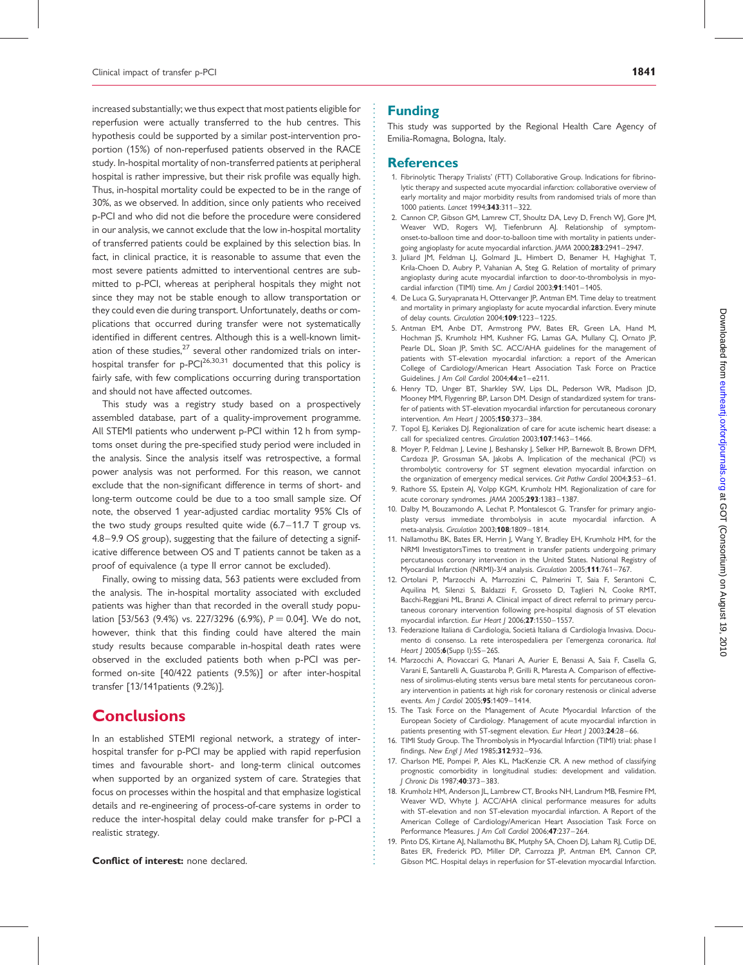increased substantially; we thus expect that most patients eligible for reperfusion were actually transferred to the hub centres. This hypothesis could be supported by a similar post-intervention proportion (15%) of non-reperfused patients observed in the RACE study. In-hospital mortality of non-transferred patients at peripheral hospital is rather impressive, but their risk profile was equally high. Thus, in-hospital mortality could be expected to be in the range of 30%, as we observed. In addition, since only patients who received p-PCI and who did not die before the procedure were considered in our analysis, we cannot exclude that the low in-hospital mortality of transferred patients could be explained by this selection bias. In fact, in clinical practice, it is reasonable to assume that even the most severe patients admitted to interventional centres are submitted to p-PCI, whereas at peripheral hospitals they might not since they may not be stable enough to allow transportation or they could even die during transport. Unfortunately, deaths or complications that occurred during transfer were not systematically identified in different centres. Although this is a well-known limitation of these studies, $^{27}$  several other randomized trials on interhospital transfer for  $p-PCI^{26,30,31}$  documented that this policy is fairly safe, with few complications occurring during transportation and should not have affected outcomes.

This study was a registry study based on a prospectively assembled database, part of a quality-improvement programme. All STEMI patients who underwent p-PCI within 12 h from symptoms onset during the pre-specified study period were included in the analysis. Since the analysis itself was retrospective, a formal power analysis was not performed. For this reason, we cannot exclude that the non-significant difference in terms of short- and long-term outcome could be due to a too small sample size. Of note, the observed 1 year-adjusted cardiac mortality 95% CIs of the two study groups resulted quite wide  $(6.7-11.7 \text{ T}$  group vs. 4.8 –9.9 OS group), suggesting that the failure of detecting a significative difference between OS and T patients cannot be taken as a proof of equivalence (a type II error cannot be excluded).

Finally, owing to missing data, 563 patients were excluded from the analysis. The in-hospital mortality associated with excluded patients was higher than that recorded in the overall study population [53/563 (9.4%) vs. 227/3296 (6.9%),  $P = 0.04$ ]. We do not, however, think that this finding could have altered the main study results because comparable in-hospital death rates were observed in the excluded patients both when p-PCI was performed on-site [40/422 patients (9.5%)] or after inter-hospital transfer [13/141patients (9.2%)].

# **Conclusions**

In an established STEMI regional network, a strategy of interhospital transfer for p-PCI may be applied with rapid reperfusion times and favourable short- and long-term clinical outcomes when supported by an organized system of care. Strategies that focus on processes within the hospital and that emphasize logistical details and re-engineering of process-of-care systems in order to reduce the inter-hospital delay could make transfer for p-PCI a realistic strategy.

#### Conflict of interest: none declared.

# Funding

This study was supported by the Regional Health Care Agency of Emilia-Romagna, Bologna, Italy.

#### **References**

- 1. Fibrinolytic Therapy Trialists' (FTT) Collaborative Group. Indications for fibrinolytic therapy and suspected acute myocardial infarction: collaborative overview of early mortality and major morbidity results from randomised trials of more than 1000 patients. Lancet 1994**:343**:311-322.
- 2. Cannon CP, Gibson GM, Lamrew CT, Shoultz DA, Levy D, French WJ, Gore JM, Weaver WD, Rogers WJ, Tiefenbrunn AJ. Relationship of symptomonset-to-balloon time and door-to-balloon time with mortality in patients undergoing angioplasty for acute myocardial infarction. JAMA 2000;283:2941 –2947.
- 3. Juliard JM, Feldman LJ, Golmard JL, Himbert D, Benamer H, Haghighat T, Krila-Choen D, Aubry P, Vahanian A, Steg G. Relation of mortality of primary angioplasty during acute myocardial infarction to door-to-thrombolysis in myocardial infarction (TIMI) time. Am J Cardiol 2003;91:1401-1405.
- 4. De Luca G, Suryapranata H, Ottervanger JP, Antman EM. Time delay to treatment and mortality in primary angioplasty for acute myocardial infarction. Every minute of delay counts. Circulation 2004;109:1223 – 1225.
- 5. Antman EM, Anbe DT, Armstrong PW, Bates ER, Green LA, Hand M, Hochman JS, Krumholz HM, Kushner FG, Lamas GA, Mullany CJ, Ornato JP, Pearle DL, Sloan JP, Smith SC. ACC/AHA guidelines for the management of patients with ST-elevation myocardial infarction: a report of the American College of Cardiology/American Heart Association Task Force on Practice Guidelines. J Am Coll Cardiol 2004;44:e1 –e211.
- 6. Henry TD, Unger BT, Sharkley SW, Lips DL, Pederson WR, Madison JD, Mooney MM, Flygenring BP, Larson DM. Design of standardized system for transfer of patients with ST-elevation myocardial infarction for percutaneous coronary intervention. Am Heart I 2005:150:373-384.
- 7. Topol EJ, Keriakes DJ. Regionalization of care for acute ischemic heart disease: a call for specialized centres. Circulation 2003;107:1463-1466.
- 8. Moyer P, Feldman J, Levine J, Beshansky J, Selker HP, Barnewolt B, Brown DFM, Cardoza JP, Grossman SA, Jakobs A. Implication of the mechanical (PCI) vs thrombolytic controversy for ST segment elevation myocardial infarction on the organization of emergency medical services. Crit Pathw Cardiol 2004;3:53–61.
- 9. Rathore SS, Epstein AJ, Volpp KGM, Krumholz HM. Regionalization of care for acute coronary syndromes. JAMA 2005;293:1383-1387.
- 10. Dalby M, Bouzamondo A, Lechat P, Montalescot G. Transfer for primary angioplasty versus immediate thrombolysis in acute myocardial infarction. A meta-analysis. Circulation 2003;108:1809-1814.
- 11. Nallamothu BK, Bates ER, Herrin J, Wang Y, Bradley EH, Krumholz HM, for the NRMI InvestigatorsTimes to treatment in transfer patients undergoing primary percutaneous coronary intervention in the United States. National Registry of Myocardial Infarction (NRMI)-3/4 analysis. Circulation 2005;111:761-767.
- 12. Ortolani P, Marzocchi A, Marrozzini C, Palmerini T, Saia F, Serantoni C, Aquilina M, Silenzi S, Baldazzi F, Grosseto D, Taglieri N, Cooke RMT, Bacchi-Reggiani ML, Branzi A. Clinical impact of direct referral to primary percutaneous coronary intervention following pre-hospital diagnosis of ST elevation myocardial infarction. Eur Heart J 2006;27:1550-1557.
- 13. Federazione Italiana di Cardiologia, Società Italiana di Cardiologia Invasiva. Documento di consenso. La rete interospedaliera per l'emergenza coronarica. Ital Heart | 2005:6(Supp l):5S-26S.
- 14. Marzocchi A, Piovaccari G, Manari A, Aurier E, Benassi A, Saia F, Casella G, Varani E, Santarelli A, Guastaroba P, Grilli R, Maresta A. Comparison of effectiveness of sirolimus-eluting stents versus bare metal stents for percutaneous coronary intervention in patients at high risk for coronary restenosis or clinical adverse events. Am | Cardiol 2005;95:1409-1414.
- 15. The Task Force on the Management of Acute Myocardial Infarction of the European Society of Cardiology. Management of acute myocardial infarction in patients presenting with ST-segment elevation. Eur Heart J 2003;24:28-66.
- 16. TIMI Study Group. The Thrombolysis in Myocardial Infarction (TIMI) trial: phase I findings. New Engl J Med 1985;312:932-936.
- 17. Charlson ME, Pompei P, Ales KL, MacKenzie CR. A new method of classifying prognostic comorbidity in longitudinal studies: development and validation. J Chronic Dis 1987;40:373 – 383.
- 18. Krumholz HM, Anderson JL, Lambrew CT, Brooks NH, Landrum MB, Fesmire FM, Weaver WD, Whyte J. ACC/AHA clinical performance measures for adults with ST-elevation and non ST-elevation myocardial infarction. A Report of the American College of Cardiology/American Heart Association Task Force on Performance Measures. J Am Coll Cardiol 2006;47:237-264.
- 19. Pinto DS, Kirtane AJ, Nallamothu BK, Mutphy SA, Choen DJ, Laham RJ, Cutlip DE, Bates ER, Frederick PD, Miller DP, Carrozza JP, Antman EM, Cannon CP, Gibson MC. Hospital delays in reperfusion for ST-elevation myocardial Infarction.